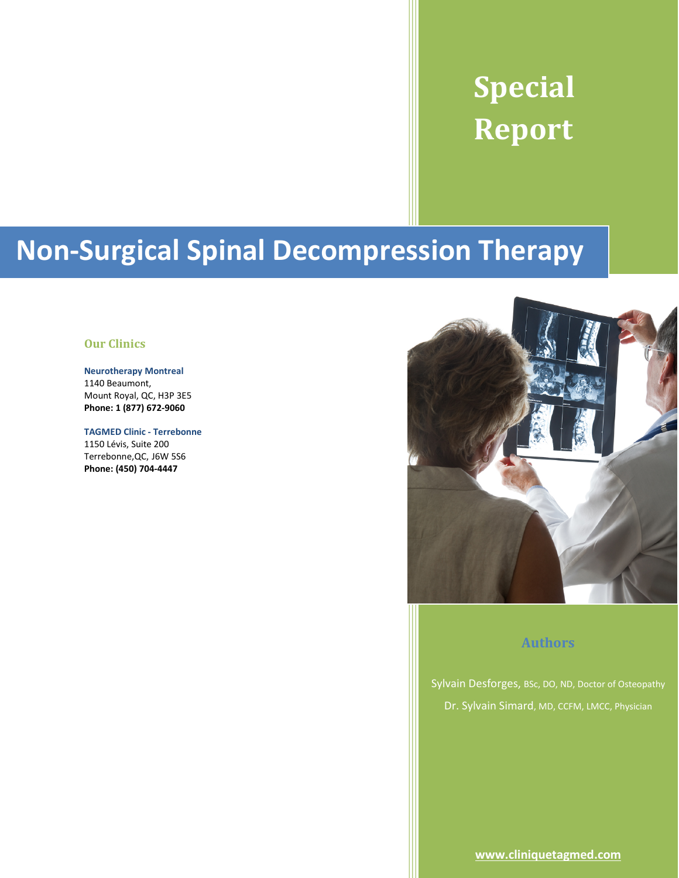# **Special Report**

# **Non-Surgical Spinal Decompression Therapy**

#### <span id="page-0-1"></span>**Our Clinics**

**Neurotherapy Montreal** 1140 Beaumont, Mount Royal, QC, H3P 3E5 **Phone: 1 (877) 672-9060**

**TAGMED Clinic - Terrebonne**  1150 Lévis, Suite 200 Terrebonne,QC, J6W 5S6 **Phone: (450) 704-4447**



#### **Authors**

<span id="page-0-0"></span>Sylvain Desforges, BSc, DO, ND, Doctor of Osteopathy Dr. Sylvain Simard, MD, CCFM, LMCC, Physician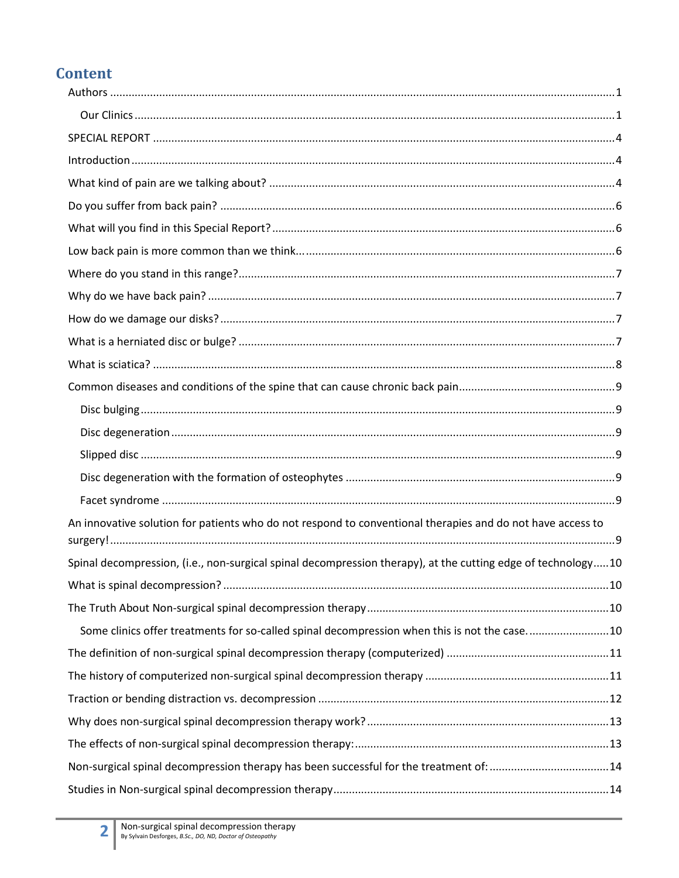# **Content**

| An innovative solution for patients who do not respond to conventional therapies and do not have access to   |  |
|--------------------------------------------------------------------------------------------------------------|--|
| Spinal decompression, (i.e., non-surgical spinal decompression therapy), at the cutting edge of technology10 |  |
| 10                                                                                                           |  |
|                                                                                                              |  |
| Some clinics offer treatments for so-called spinal decompression when this is not the case10                 |  |
|                                                                                                              |  |
|                                                                                                              |  |
|                                                                                                              |  |
|                                                                                                              |  |
|                                                                                                              |  |
|                                                                                                              |  |
|                                                                                                              |  |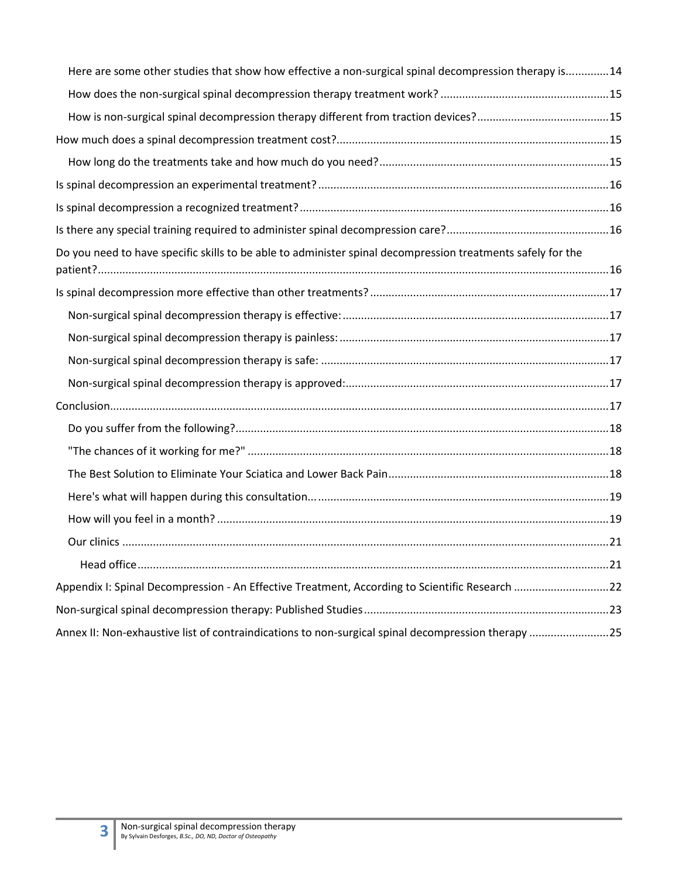| Here are some other studies that show how effective a non-surgical spinal decompression therapy is14        |  |
|-------------------------------------------------------------------------------------------------------------|--|
|                                                                                                             |  |
| How is non-surgical spinal decompression therapy different from traction devices?15                         |  |
|                                                                                                             |  |
|                                                                                                             |  |
|                                                                                                             |  |
|                                                                                                             |  |
|                                                                                                             |  |
| Do you need to have specific skills to be able to administer spinal decompression treatments safely for the |  |
|                                                                                                             |  |
|                                                                                                             |  |
|                                                                                                             |  |
|                                                                                                             |  |
|                                                                                                             |  |
|                                                                                                             |  |
|                                                                                                             |  |
|                                                                                                             |  |
|                                                                                                             |  |
|                                                                                                             |  |
|                                                                                                             |  |
|                                                                                                             |  |
|                                                                                                             |  |
| Appendix I: Spinal Decompression - An Effective Treatment, According to Scientific Research 22              |  |
|                                                                                                             |  |
| Annex II: Non-exhaustive list of contraindications to non-surgical spinal decompression therapy 25          |  |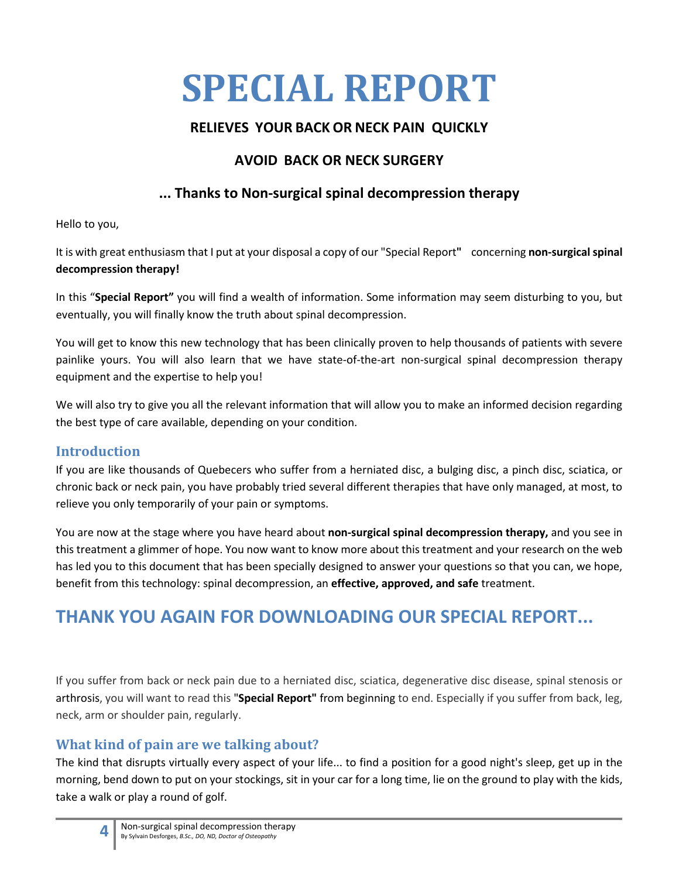# <span id="page-3-0"></span>**SPECIAL REPORT**

# **RELIEVES YOUR BACK OR NECK PAIN QUICKLY**

# **AVOID BACK OR NECK SURGERY**

# **... Thanks to Non-surgical spinal decompression therapy**

Hello to you,

It is with great enthusiasm that I put at your disposal a copy of our "Special Report**"** concerning **non-surgical spinal decompression therapy!**

In this "**Special Report"** you will find a wealth of information. Some information may seem disturbing to you, but eventually, you will finally know the truth about spinal decompression.

You will get to know this new technology that has been clinically proven to help thousands of patients with severe painlike yours. You will also learn that we have state-of-the-art non-surgical spinal decompression therapy equipment and the expertise to help you!

We will also try to give you all the relevant information that will allow you to make an informed decision regarding the best type of care available, depending on your condition.

# <span id="page-3-1"></span>**Introduction**

If you are like thousands of Quebecers who suffer from a herniated disc, a bulging disc, a pinch disc, sciatica, or chronic back or neck pain, you have probably tried several different therapies that have only managed, at most, to relieve you only temporarily of your pain or symptoms.

You are now at the stage where you have heard about **non-surgical spinal decompression therapy,** and you see in this treatment a glimmer of hope. You now want to know more about this treatment and your research on the web has led you to this document that has been specially designed to answer your questions so that you can, we hope, benefit from this technology: spinal decompression, an **effective, approved, and safe** treatment.

# **THANK YOU AGAIN FOR DOWNLOADING OUR SPECIAL REPORT...**

If you suffer from back or neck pain due to a herniated disc, sciatica, degenerative disc disease, spinal stenosis or arthrosis, you will want to read this "**Special Report"** from beginning to end. Especially if you suffer from back, leg, neck, arm or shoulder pain, regularly.

# <span id="page-3-2"></span>**What kind of pain are we talking about?**

The kind that disrupts virtually every aspect of your life... to find a position for a good night's sleep, get up in the morning, bend down to put on your stockings, sit in your car for a long time, lie on the ground to play with the kids, take a walk or play a round of golf.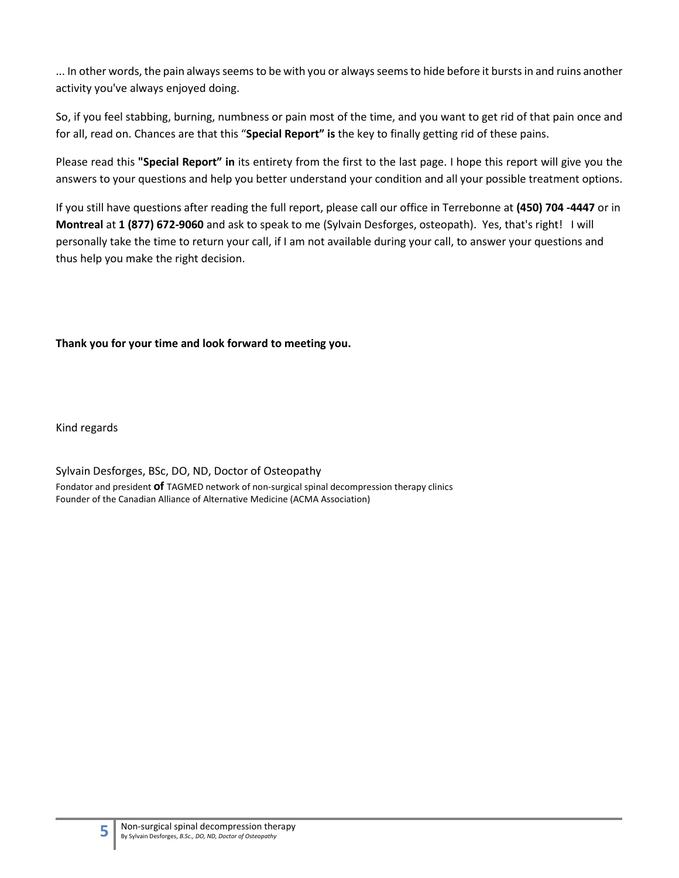... In other words, the pain always seems to be with you or always seems to hide before it bursts in and ruins another activity you've always enjoyed doing.

So, if you feel stabbing, burning, numbness or pain most of the time, and you want to get rid of that pain once and for all, read on. Chances are that this "**Special Report" is** the key to finally getting rid of these pains.

Please read this **"Special Report" in** its entirety from the first to the last page. I hope this report will give you the answers to your questions and help you better understand your condition and all your possible treatment options.

If you still have questions after reading the full report, please call our office in Terrebonne at **(450) 704 -4447** or in **Montreal** at **1 (877) 672-9060** and ask to speak to me (Sylvain Desforges, osteopath). Yes, that's right! I will personally take the time to return your call, if I am not available during your call, to answer your questions and thus help you make the right decision.

**Thank you for your time and look forward to meeting you.**

Kind regards

Sylvain Desforges, BSc, DO, ND, Doctor of Osteopathy Fondator and president **of** TAGMED network of non-surgical spinal decompression therapy clinics Founder of the Canadian Alliance of Alternative Medicine (ACMA Association)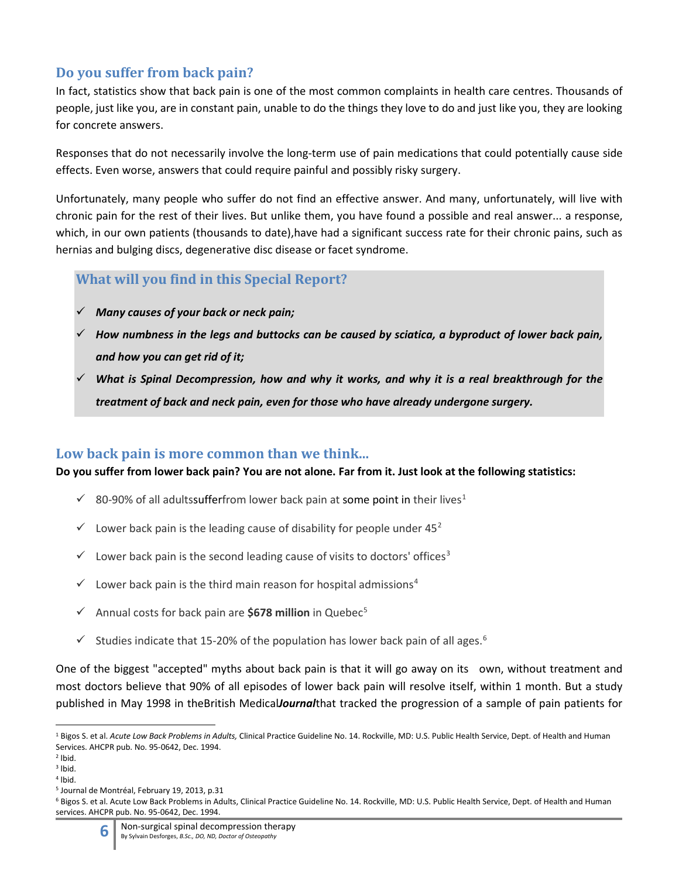# <span id="page-5-0"></span>**Do you suffer from back pain?**

In fact, statistics show that back pain is one of the most common complaints in health care centres. Thousands of people, just like you, are in constant pain, unable to do the things they love to do and just like you, they are looking for concrete answers.

Responses that do not necessarily involve the long-term use of pain medications that could potentially cause side effects. Even worse, answers that could require painful and possibly risky surgery.

Unfortunately, many people who suffer do not find an effective answer. And many, unfortunately, will live with chronic pain for the rest of their lives. But unlike them, you have found a possible and real answer... a response, which, in our own patients (thousands to date), have had a significant success rate for their chronic pains, such as hernias and bulging discs, degenerative disc disease or facet syndrome.

#### <span id="page-5-1"></span>**What will you find in this Special Report?**

- *Many causes of your back or neck pain;*
- *How numbness in the legs and buttocks can be caused by sciatica, a byproduct of lower back pain, and how you can get rid of it;*
- *What is Spinal Decompression, how and why it works, and why it is a real breakthrough for the treatment of back and neck pain, even for those who have already undergone surgery.*

#### <span id="page-5-2"></span>**Low back pain is more common than we think...**

**Do you suffer from lower back pain? You are not alone. Far from it. Just look at the following statistics:**

- 80-90% of all adultssufferfrom lower back pain at some point in their lives<sup>[1](#page-5-3)</sup>
- $\checkmark$  Lower back pain is the leading cause of disability for people under 45<sup>[2](#page-5-4)</sup>
- $\checkmark$  Lower back pain is the second leading cause of visits to doctors' offices<sup>[3](#page-5-5)</sup>
- $\checkmark$  Lower back pain is the third main reason for hospital admissions<sup>[4](#page-5-6)</sup>
- $\checkmark$  Annual costs for back pain are **\$678 million** in Quebec<sup>[5](#page-5-7)</sup>
- $\checkmark$  Studies indicate that 15-20% of the population has lower back pain of all ages.<sup>[6](#page-5-8)</sup>

One of the biggest "accepted" myths about back pain is that it will go away on its own, without treatment and most doctors believe that 90% of all episodes of lower back pain will resolve itself, within 1 month. But a study published in May 1998 in theBritish Medical*Journal*that tracked the progression of a sample of pain patients for

<span id="page-5-3"></span><sup>1</sup> Bigos S. et al. *Acute Low Back Problems in Adults,* Clinical Practice Guideline No. 14. Rockville, MD: U.S. Public Health Service, Dept. of Health and Human Services. AHCPR pub. No. 95-0642, Dec. 1994.

<span id="page-5-4"></span> $2$  lbid.

<span id="page-5-5"></span> $3$  lbid.  $4$  lbid.

<span id="page-5-7"></span><span id="page-5-6"></span><sup>5</sup> Journal de Montréal, February 19, 2013, p.31

<span id="page-5-8"></span><sup>&</sup>lt;sup>6</sup> Bigos S. et al. Acute Low Back Problems in Adults, Clinical Practice Guideline No. 14. Rockville, MD: U.S. Public Health Service, Dept. of Health and Human services. AHCPR pub. No. 95-0642, Dec. 1994.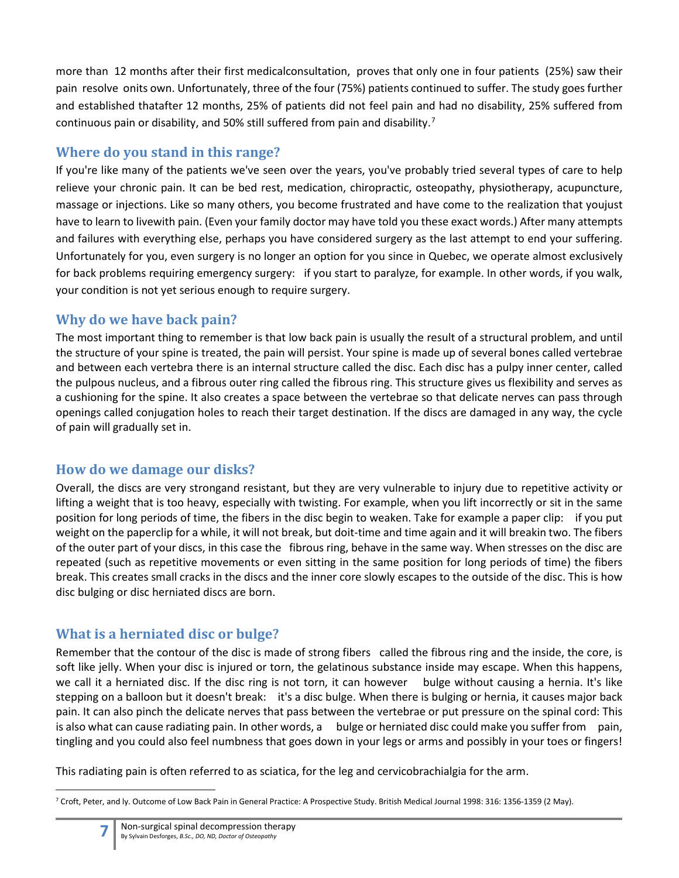more than 12 months after their first medicalconsultation, proves that only one in four patients (25%) saw their pain resolve onits own. Unfortunately, three of the four (75%) patients continued to suffer. The study goes further and established thatafter 12 months, 25% of patients did not feel pain and had no disability, 25% suffered from continuous pain or disability, and 50% still suffered from pain and disability.<sup>[7](#page-6-4)</sup>

# <span id="page-6-0"></span>**Where do you stand in this range?**

If you're like many of the patients we've seen over the years, you've probably tried several types of care to help relieve your chronic pain. It can be bed rest, medication, chiropractic, osteopathy, physiotherapy, acupuncture, massage or injections. Like so many others, you become frustrated and have come to the realization that youjust have to learn to livewith pain. (Even your family doctor may have told you these exact words.) After many attempts and failures with everything else, perhaps you have considered surgery as the last attempt to end your suffering. Unfortunately for you, even surgery is no longer an option for you since in Quebec, we operate almost exclusively for back problems requiring emergency surgery: if you start to paralyze, for example. In other words, if you walk, your condition is not yet serious enough to require surgery.

# <span id="page-6-1"></span>**Why do we have back pain?**

The most important thing to remember is that low back pain is usually the result of a structural problem, and until the structure of your spine is treated, the pain will persist. Your spine is made up of several bones called vertebrae and between each vertebra there is an internal structure called the disc. Each disc has a pulpy inner center, called the pulpous nucleus, and a fibrous outer ring called the fibrous ring. This structure gives us flexibility and serves as a cushioning for the spine. It also creates a space between the vertebrae so that delicate nerves can pass through openings called conjugation holes to reach their target destination. If the discs are damaged in any way, the cycle of pain will gradually set in.

# <span id="page-6-2"></span>**How do we damage our disks?**

Overall, the discs are very strongand resistant, but they are very vulnerable to injury due to repetitive activity or lifting a weight that is too heavy, especially with twisting. For example, when you lift incorrectly or sit in the same position for long periods of time, the fibers in the disc begin to weaken. Take for example a paper clip: if you put weight on the paperclip for a while, it will not break, but doit-time and time again and it will breakin two. The fibers of the outer part of your discs, in this case the fibrous ring, behave in the same way. When stresses on the disc are repeated (such as repetitive movements or even sitting in the same position for long periods of time) the fibers break. This creates small cracks in the discs and the inner core slowly escapes to the outside of the disc. This is how disc bulging or disc herniated discs are born.

# <span id="page-6-3"></span>**What is a herniated disc or bulge?**

Remember that the contour of the disc is made of strong fibers called the fibrous ring and the inside, the core, is soft like jelly. When your disc is injured or torn, the gelatinous substance inside may escape. When this happens, we call it a herniated disc. If the disc ring is not torn, it can however bulge without causing a hernia. It's like stepping on a balloon but it doesn't break: it's a disc bulge. When there is bulging or hernia, it causes major back pain. It can also pinch the delicate nerves that pass between the vertebrae or put pressure on the spinal cord: This is also what can cause radiating pain. In other words, a bulge or herniated disc could make you suffer from pain, tingling and you could also feel numbness that goes down in your legs or arms and possibly in your toes or fingers!

This radiating pain is often referred to as sciatica, for the leg and cervicobrachialgia for the arm.

<span id="page-6-4"></span><sup>7</sup> Croft, Peter, and ly. Outcome of Low Back Pain in General Practice: A Prospective Study. British Medical Journal 1998: 316: 1356-1359 (2 May).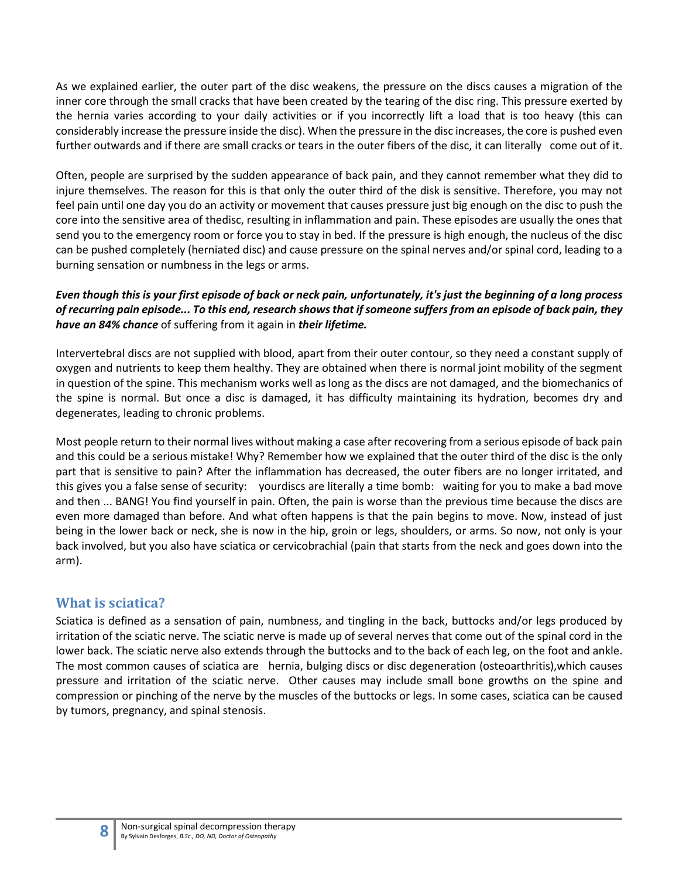As we explained earlier, the outer part of the disc weakens, the pressure on the discs causes a migration of the inner core through the small cracks that have been created by the tearing of the disc ring. This pressure exerted by the hernia varies according to your daily activities or if you incorrectly lift a load that is too heavy (this can considerably increase the pressure inside the disc). When the pressure in the disc increases, the core is pushed even further outwards and if there are small cracks or tears in the outer fibers of the disc, it can literally come out of it.

Often, people are surprised by the sudden appearance of back pain, and they cannot remember what they did to injure themselves. The reason for this is that only the outer third of the disk is sensitive. Therefore, you may not feel pain until one day you do an activity or movement that causes pressure just big enough on the disc to push the core into the sensitive area of thedisc, resulting in inflammation and pain. These episodes are usually the ones that send you to the emergency room or force you to stay in bed. If the pressure is high enough, the nucleus of the disc can be pushed completely (herniated disc) and cause pressure on the spinal nerves and/or spinal cord, leading to a burning sensation or numbness in the legs or arms.

#### *Even though this is your first episode of back or neck pain, unfortunately, it's just the beginning of a long process of recurring pain episode... To this end, research shows that if someone suffers from an episode of back pain, they have an 84% chance* of suffering from it again in *their lifetime.*

Intervertebral discs are not supplied with blood, apart from their outer contour, so they need a constant supply of oxygen and nutrients to keep them healthy. They are obtained when there is normal joint mobility of the segment in question of the spine. This mechanism works well as long as the discs are not damaged, and the biomechanics of the spine is normal. But once a disc is damaged, it has difficulty maintaining its hydration, becomes dry and degenerates, leading to chronic problems.

Most people return to their normal lives without making a case after recovering from a serious episode of back pain and this could be a serious mistake! Why? Remember how we explained that the outer third of the disc is the only part that is sensitive to pain? After the inflammation has decreased, the outer fibers are no longer irritated, and this gives you a false sense of security: yourdiscs are literally a time bomb: waiting for you to make a bad move and then ... BANG! You find yourself in pain. Often, the pain is worse than the previous time because the discs are even more damaged than before. And what often happens is that the pain begins to move. Now, instead of just being in the lower back or neck, she is now in the hip, groin or legs, shoulders, or arms. So now, not only is your back involved, but you also have sciatica or cervicobrachial (pain that starts from the neck and goes down into the arm).

#### <span id="page-7-0"></span>**What is sciatica?**

Sciatica is defined as a sensation of pain, numbness, and tingling in the back, buttocks and/or legs produced by irritation of the sciatic nerve. The sciatic nerve is made up of several nerves that come out of the spinal cord in the lower back. The sciatic nerve also extends through the buttocks and to the back of each leg, on the foot and ankle. The most common causes of sciatica are hernia, bulging discs or disc degeneration (osteoarthritis),which causes pressure and irritation of the sciatic nerve. Other causes may include small bone growths on the spine and compression or pinching of the nerve by the muscles of the buttocks or legs. In some cases, sciatica can be caused by tumors, pregnancy, and spinal stenosis.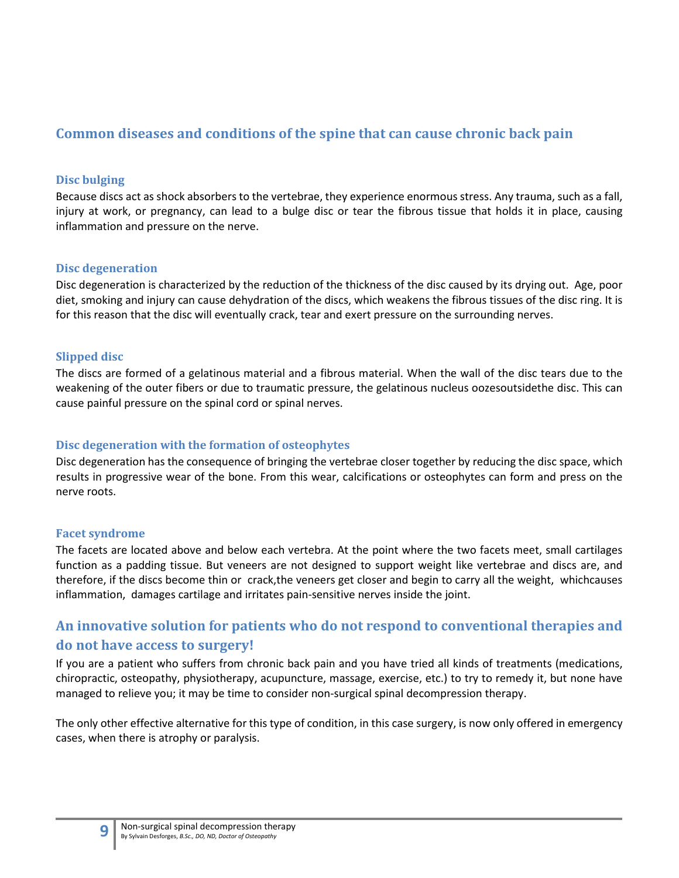#### <span id="page-8-0"></span>**Common diseases and conditions of the spine that can cause chronic back pain**

#### <span id="page-8-1"></span>**Disc bulging**

Because discs act as shock absorbers to the vertebrae, they experience enormous stress. Any trauma, such as a fall, injury at work, or pregnancy, can lead to a bulge disc or tear the fibrous tissue that holds it in place, causing inflammation and pressure on the nerve.

#### <span id="page-8-2"></span>**Disc degeneration**

Disc degeneration is characterized by the reduction of the thickness of the disc caused by its drying out. Age, poor diet, smoking and injury can cause dehydration of the discs, which weakens the fibrous tissues of the disc ring. It is for this reason that the disc will eventually crack, tear and exert pressure on the surrounding nerves.

#### <span id="page-8-3"></span>**Slipped disc**

The discs are formed of a gelatinous material and a fibrous material. When the wall of the disc tears due to the weakening of the outer fibers or due to traumatic pressure, the gelatinous nucleus oozesoutsidethe disc. This can cause painful pressure on the spinal cord or spinal nerves.

#### <span id="page-8-4"></span>**Disc degeneration with the formation of osteophytes**

Disc degeneration has the consequence of bringing the vertebrae closer together by reducing the disc space, which results in progressive wear of the bone. From this wear, calcifications or osteophytes can form and press on the nerve roots.

#### <span id="page-8-5"></span>**Facet syndrome**

The facets are located above and below each vertebra. At the point where the two facets meet, small cartilages function as a padding tissue. But veneers are not designed to support weight like vertebrae and discs are, and therefore, if the discs become thin or crack,the veneers get closer and begin to carry all the weight, whichcauses inflammation, damages cartilage and irritates pain-sensitive nerves inside the joint.

#### <span id="page-8-6"></span>**An innovative solution for patients who do not respond to conventional therapies and do not have access to surgery!**

If you are a patient who suffers from chronic back pain and you have tried all kinds of treatments (medications, chiropractic, osteopathy, physiotherapy, acupuncture, massage, exercise, etc.) to try to remedy it, but none have managed to relieve you; it may be time to consider non-surgical spinal decompression therapy.

The only other effective alternative for this type of condition, in this case surgery, is now only offered in emergency cases, when there is atrophy or paralysis.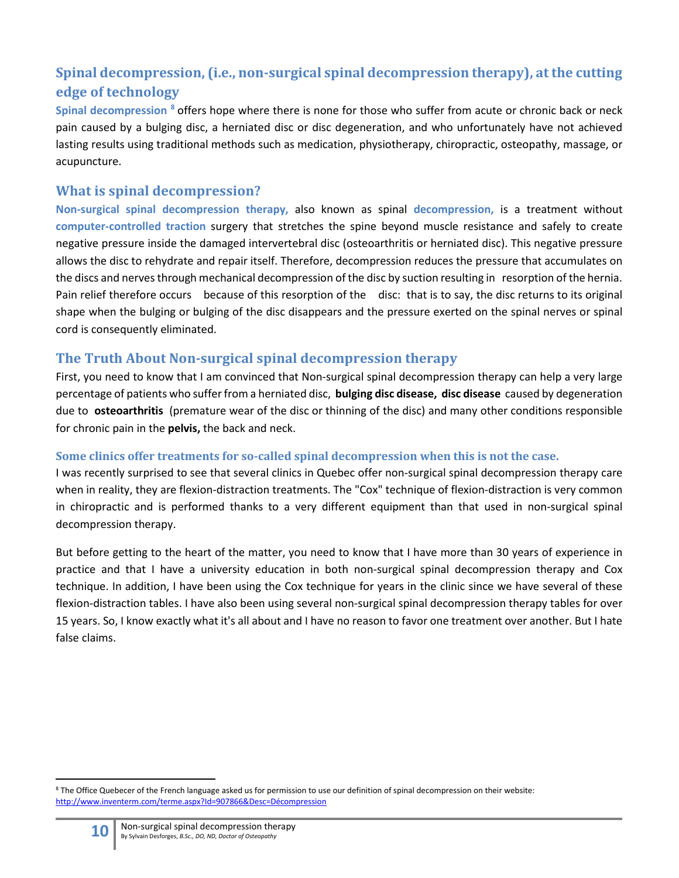# <span id="page-9-0"></span>**Spinal decompression, (i.e., non-surgical spinal decompression therapy), at the cutting edge of technology**

**Spinal decompression [8](#page-9-4)** offers hope where there is none for those who suffer from acute or chronic back or neck pain caused by a bulging disc, a herniated disc or disc degeneration, and who unfortunately have not achieved lasting results using traditional methods such as medication, physiotherapy, chiropractic, osteopathy, massage, or acupuncture.

#### <span id="page-9-1"></span>**What is spinal decompression?**

**Non-surgical spinal decompression therapy,** also known as spinal **decompression,** is a treatment without **computer-controlled traction** surgery that stretches the spine beyond muscle resistance and safely to create negative pressure inside the damaged intervertebral disc (osteoarthritis or herniated disc). This negative pressure allows the disc to rehydrate and repair itself. Therefore, decompression reduces the pressure that accumulates on the discs and nerves through mechanical decompression of the disc by suction resulting in resorption of the hernia. Pain relief therefore occurs because of this resorption of the disc: that is to say, the disc returns to its original shape when the bulging or bulging of the disc disappears and the pressure exerted on the spinal nerves or spinal cord is consequently eliminated.

#### <span id="page-9-2"></span>**The Truth About Non-surgical spinal decompression therapy**

First, you need to know that I am convinced that Non-surgical spinal decompression therapy can help a very large percentage of patients who suffer from a herniated disc, **bulging disc disease, disc disease** caused by degeneration due to **osteoarthritis** (premature wear of the disc or thinning of the disc) and many other conditions responsible for chronic pain in the **pelvis,** the back and neck.

#### <span id="page-9-3"></span>**Some clinics offer treatments for so-called spinal decompression when this is not the case.**

I was recently surprised to see that several clinics in Quebec offer non-surgical spinal decompression therapy care when in reality, they are flexion-distraction treatments. The "Cox" technique of flexion-distraction is very common in chiropractic and is performed thanks to a very different equipment than that used in non-surgical spinal decompression therapy.

But before getting to the heart of the matter, you need to know that I have more than 30 years of experience in practice and that I have a university education in both non-surgical spinal decompression therapy and Cox technique. In addition, I have been using the Cox technique for years in the clinic since we have several of these flexion-distraction tables. I have also been using several non-surgical spinal decompression therapy tables for over 15 years. So, I know exactly what it's all about and I have no reason to favor one treatment over another. But I hate false claims.

<span id="page-9-4"></span><sup>&</sup>lt;sup>8</sup> The Office Quebecer of the French language asked us for permission to use our definition of spinal decompression on their website: [http://www.inventerm.com/terme.aspx?Id=907866&Desc=Décompression](http://www.inventerm.com/terme.aspx?Id=907866&Desc=D%C3%A9compression%20vert%C3%A9brale)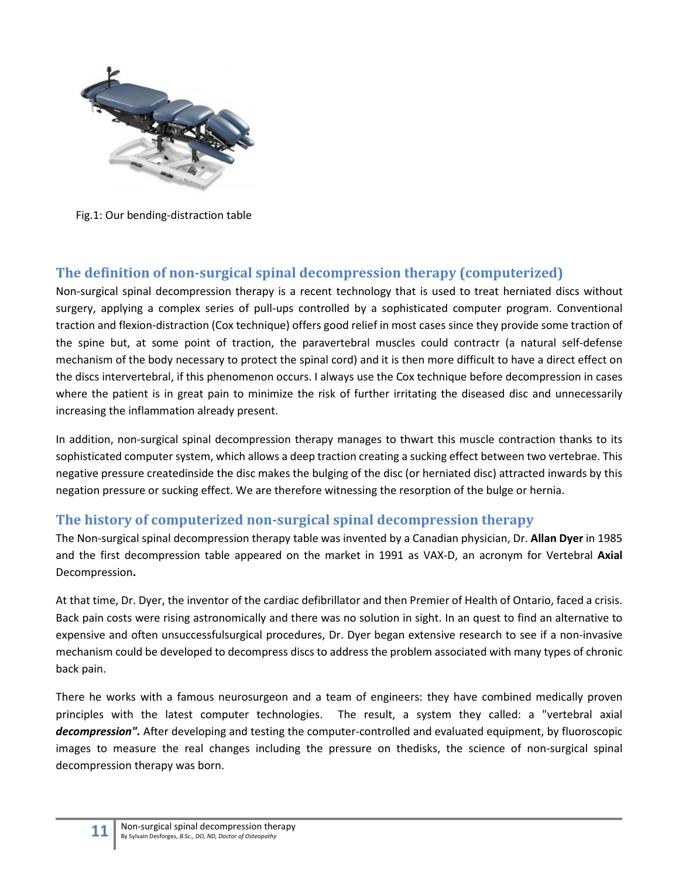

Fig.1: Our bending-distraction table

#### <span id="page-10-0"></span>**The definition of non-surgical spinal decompression therapy (computerized)**

Non-surgical spinal decompression therapy is a recent technology that is used to treat herniated discs without surgery, applying a complex series of pull-ups controlled by a sophisticated computer program. Conventional traction and flexion-distraction (Cox technique) offers good relief in most cases since they provide some traction of the spine but, at some point of traction, the paravertebral muscles could contractr (a natural self-defense mechanism of the body necessary to protect the spinal cord) and it is then more difficult to have a direct effect on the discs intervertebral, if this phenomenon occurs. I always use the Cox technique before decompression in cases where the patient is in great pain to minimize the risk of further irritating the diseased disc and unnecessarily increasing the inflammation already present.

In addition, non-surgical spinal decompression therapy manages to thwart this muscle contraction thanks to its sophisticated computer system, which allows a deep traction creating a sucking effect between two vertebrae. This negative pressure createdinside the disc makes the bulging of the disc (or herniated disc) attracted inwards by this negation pressure or sucking effect. We are therefore witnessing the resorption of the bulge or hernia.

#### <span id="page-10-1"></span>**The history of computerized non-surgical spinal decompression therapy**

The Non-surgical spinal decompression therapy table was invented by a Canadian physician, Dr. **Allan Dyer** in 1985 and the first decompression table appeared on the market in 1991 as VAX-D, an acronym for Vertebral **Axial**  Decompression**.**

At that time, Dr. Dyer, the inventor of the cardiac defibrillator and then Premier of Health of Ontario, faced a crisis. Back pain costs were rising astronomically and there was no solution in sight. In an quest to find an alternative to expensive and often unsuccessfulsurgical procedures, Dr. Dyer began extensive research to see if a non-invasive mechanism could be developed to decompress discs to address the problem associated with many types of chronic back pain.

There he works with a famous neurosurgeon and a team of engineers: they have combined medically proven principles with the latest computer technologies. The result, a system they called: a "vertebral axial *decompression".* After developing and testing the computer-controlled and evaluated equipment, by fluoroscopic images to measure the real changes including the pressure on thedisks, the science of non-surgical spinal decompression therapy was born.

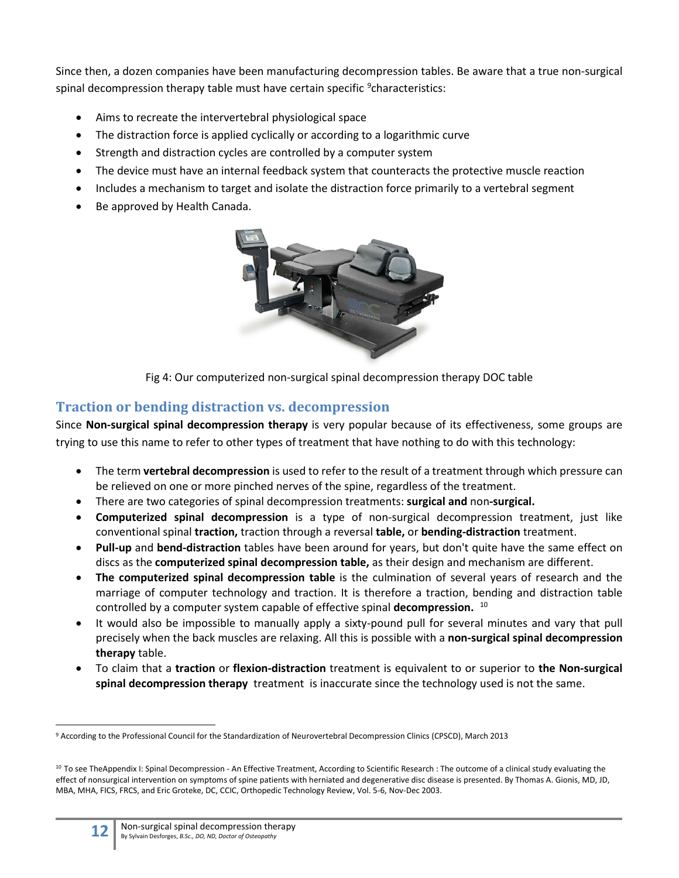Since then, a dozen companies have been manufacturing decompression tables. Be aware that a true non-surgical spinal decompression therapy table must have certain specific <sup>[9](#page-11-1)</sup>characteristics:

- Aims to recreate the intervertebral physiological space
- The distraction force is applied cyclically or according to a logarithmic curve
- Strength and distraction cycles are controlled by a computer system
- The device must have an internal feedback system that counteracts the protective muscle reaction
- Includes a mechanism to target and isolate the distraction force primarily to a vertebral segment
- Be approved by Health Canada.



Fig 4: Our computerized non-surgical spinal decompression therapy DOC table

#### <span id="page-11-0"></span>**Traction or bending distraction vs. decompression**

Since **Non-surgical spinal decompression therapy** is very popular because of its effectiveness, some groups are trying to use this name to refer to other types of treatment that have nothing to do with this technology:

- The term **vertebral decompression** is used to refer to the result of a treatment through which pressure can be relieved on one or more pinched nerves of the spine, regardless of the treatment.
- There are two categories of spinal decompression treatments: **surgical and** non**-surgical.**
- **Computerized spinal decompression** is a type of non-surgical decompression treatment, just like conventional spinal **traction,** traction through a reversal **table,** or **bending-distraction** treatment.
- **Pull-up** and **bend-distraction** tables have been around for years, but don't quite have the same effect on discs as the **computerized spinal decompression table,** as their design and mechanism are different.
- **The computerized spinal decompression table** is the culmination of several years of research and the marriage of computer technology and traction. It is therefore a traction, bending and distraction table controlled by a computer system capable of effective spinal **decompression.** [10](#page-11-2)
- It would also be impossible to manually apply a sixty-pound pull for several minutes and vary that pull precisely when the back muscles are relaxing. All this is possible with a **non-surgical spinal decompression therapy** table.
- To claim that a **traction** or **flexion-distraction** treatment is equivalent to or superior to **the Non-surgical spinal decompression therapy** treatment is inaccurate since the technology used is not the same.

<span id="page-11-1"></span><sup>9</sup> According to the Professional Council for the Standardization of Neurovertebral Decompression Clinics (CPSCD), March 2013

<span id="page-11-2"></span><sup>&</sup>lt;sup>10</sup> To see TheAppendix I: Spinal Decompression - An Effective Treatment, According to Scientific Research : The outcome of a clinical study evaluating the effect of nonsurgical intervention on symptoms of spine patients with herniated and degenerative disc disease is presented. By Thomas A. Gionis, MD, JD, MBA, MHA, FICS, FRCS, and Eric Groteke, DC, CCIC, Orthopedic Technology Review, Vol. 5-6, Nov-Dec 2003.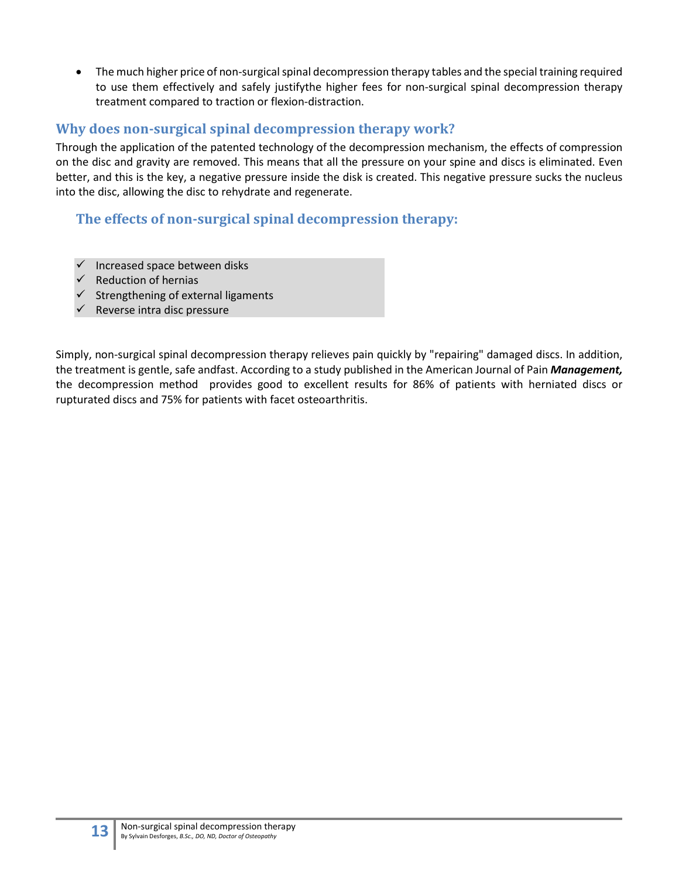• The much higher price of non-surgical spinal decompression therapy tables and the special training required to use them effectively and safely justifythe higher fees for non-surgical spinal decompression therapy treatment compared to traction or flexion-distraction.

#### <span id="page-12-0"></span>**Why does non-surgical spinal decompression therapy work?**

Through the application of the patented technology of the decompression mechanism, the effects of compression on the disc and gravity are removed. This means that all the pressure on your spine and discs is eliminated. Even better, and this is the key, a negative pressure inside the disk is created. This negative pressure sucks the nucleus into the disc, allowing the disc to rehydrate and regenerate.

#### <span id="page-12-1"></span>**The effects of non-surgical spinal decompression therapy:**

- Increased space between disks
- Reduction of hernias
- $\checkmark$  Strengthening of external ligaments
- Reverse intra disc pressure

Simply, non-surgical spinal decompression therapy relieves pain quickly by "repairing" damaged discs. In addition, the treatment is gentle, safe andfast. According to a study published in the American Journal of Pain *Management,* the decompression method provides good to excellent results for 86% of patients with herniated discs or rupturated discs and 75% for patients with facet osteoarthritis.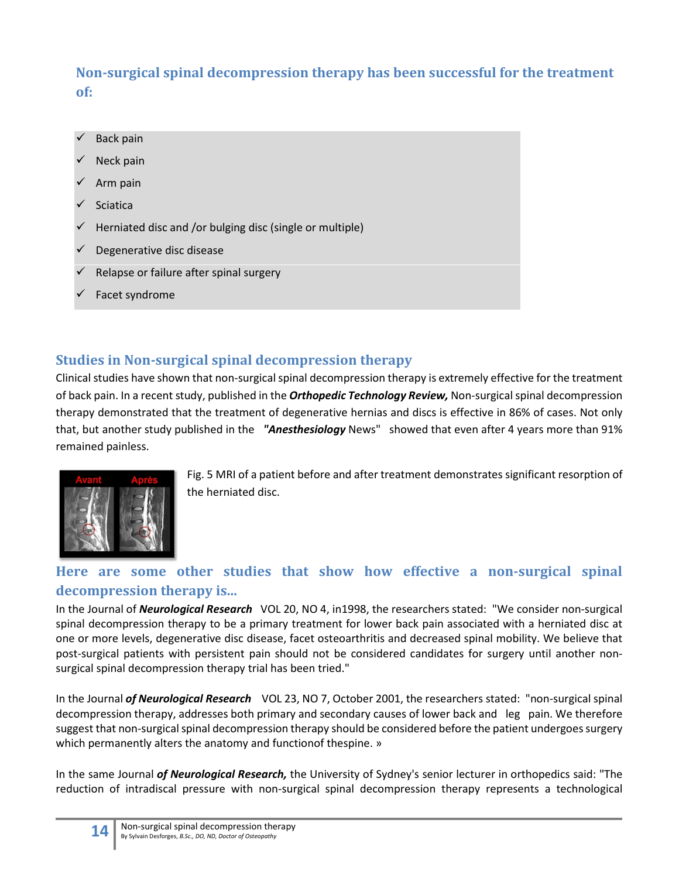# <span id="page-13-0"></span>**Non-surgical spinal decompression therapy has been successful for the treatment of:**

- Back pain
- Neck pain
- Arm pain
- **Sciatica**
- Herniated disc and /or bulging disc (single or multiple)
- $\checkmark$  Degenerative disc disease
- Relapse or failure after spinal surgery
- Facet syndrome

# <span id="page-13-1"></span>**Studies in Non-surgical spinal decompression therapy**

Clinical studies have shown that non-surgical spinal decompression therapy is extremely effective for the treatment of back pain. In a recent study, published in the *Orthopedic Technology Review,* Non-surgical spinal decompression therapy demonstrated that the treatment of degenerative hernias and discs is effective in 86% of cases. Not only that, but another study published in the *"Anesthesiology* News" showed that even after 4 years more than 91% remained painless.



Fig. 5 MRI of a patient before and after treatment demonstrates significant resorption of the herniated disc.

# <span id="page-13-2"></span>**Here are some other studies that show how effective a non-surgical spinal decompression therapy is...**

In the Journal of *Neurological Research* VOL 20, NO 4, in1998, the researchers stated: "We consider non-surgical spinal decompression therapy to be a primary treatment for lower back pain associated with a herniated disc at one or more levels, degenerative disc disease, facet osteoarthritis and decreased spinal mobility. We believe that post-surgical patients with persistent pain should not be considered candidates for surgery until another nonsurgical spinal decompression therapy trial has been tried."

In the Journal *of Neurological Research* VOL 23, NO 7, October 2001, the researchers stated: "non-surgical spinal decompression therapy, addresses both primary and secondary causes of lower back and leg pain. We therefore suggest that non-surgical spinal decompression therapy should be considered before the patient undergoes surgery which permanently alters the anatomy and function of thespine. »

In the same Journal *of Neurological Research,* the University of Sydney's senior lecturer in orthopedics said: "The reduction of intradiscal pressure with non-surgical spinal decompression therapy represents a technological

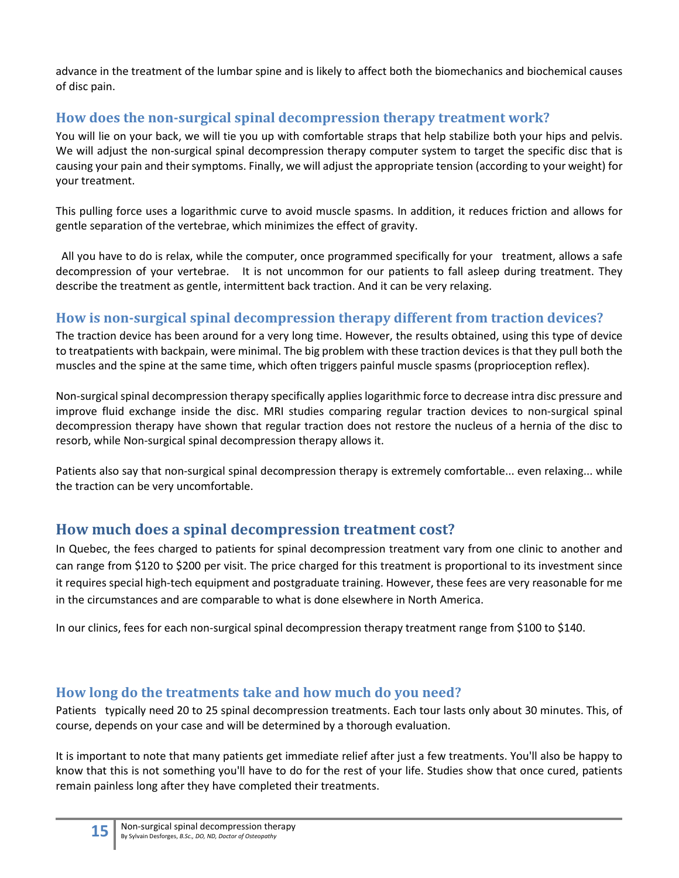advance in the treatment of the lumbar spine and is likely to affect both the biomechanics and biochemical causes of disc pain.

# <span id="page-14-0"></span>**How does the non-surgical spinal decompression therapy treatment work?**

You will lie on your back, we will tie you up with comfortable straps that help stabilize both your hips and pelvis. We will adjust the non-surgical spinal decompression therapy computer system to target the specific disc that is causing your pain and their symptoms. Finally, we will adjust the appropriate tension (according to your weight) for your treatment.

This pulling force uses a logarithmic curve to avoid muscle spasms. In addition, it reduces friction and allows for gentle separation of the vertebrae, which minimizes the effect of gravity.

All you have to do is relax, while the computer, once programmed specifically for your treatment, allows a safe decompression of your vertebrae. It is not uncommon for our patients to fall asleep during treatment. They describe the treatment as gentle, intermittent back traction. And it can be very relaxing.

#### <span id="page-14-1"></span>**How is non-surgical spinal decompression therapy different from traction devices?**

The traction device has been around for a very long time. However, the results obtained, using this type of device to treatpatients with backpain, were minimal. The big problem with these traction devices is that they pull both the muscles and the spine at the same time, which often triggers painful muscle spasms (proprioception reflex).

Non-surgical spinal decompression therapy specifically applies logarithmic force to decrease intra disc pressure and improve fluid exchange inside the disc. MRI studies comparing regular traction devices to non-surgical spinal decompression therapy have shown that regular traction does not restore the nucleus of a hernia of the disc to resorb, while Non-surgical spinal decompression therapy allows it.

Patients also say that non-surgical spinal decompression therapy is extremely comfortable... even relaxing... while the traction can be very uncomfortable.

# <span id="page-14-2"></span>**How much does a spinal decompression treatment cost?**

In Quebec, the fees charged to patients for spinal decompression treatment vary from one clinic to another and can range from \$120 to \$200 per visit. The price charged for this treatment is proportional to its investment since it requires special high-tech equipment and postgraduate training. However, these fees are very reasonable for me in the circumstances and are comparable to what is done elsewhere in North America.

In our clinics, fees for each non-surgical spinal decompression therapy treatment range from \$100 to \$140.

#### <span id="page-14-3"></span>**How long do the treatments take and how much do you need?**

Patients typically need 20 to 25 spinal decompression treatments. Each tour lasts only about 30 minutes. This, of course, depends on your case and will be determined by a thorough evaluation.

It is important to note that many patients get immediate relief after just a few treatments. You'll also be happy to know that this is not something you'll have to do for the rest of your life. Studies show that once cured, patients remain painless long after they have completed their treatments.

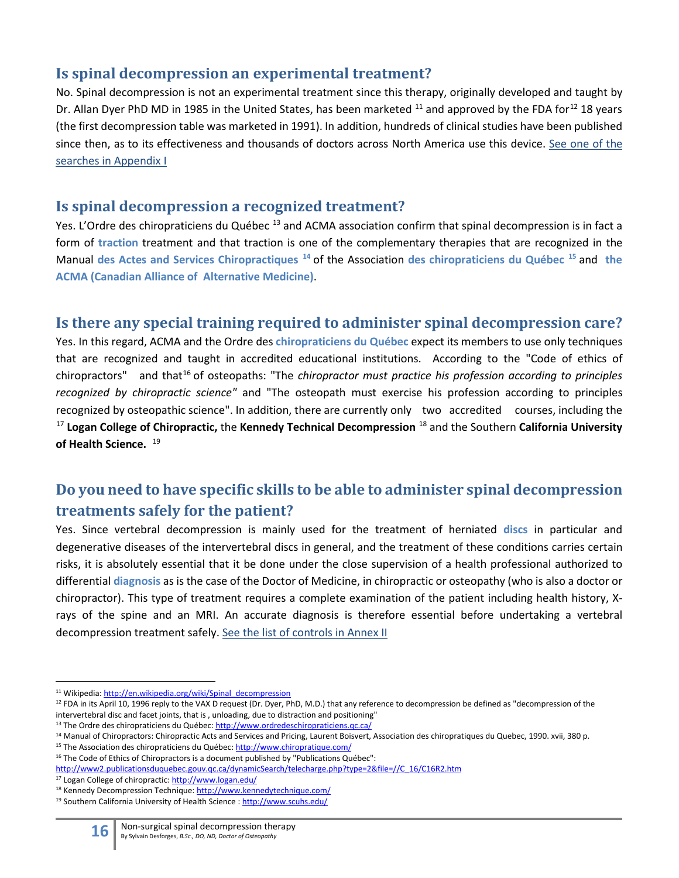#### <span id="page-15-0"></span>**Is spinal decompression an experimental treatment?**

No. Spinal decompression is not an experimental treatment since this therapy, originally developed and taught by Dr. Allan Dyer PhD MD in 1985 in the United States, has been marketed <sup>[11](#page-15-4)</sup> and approved by the FDA for<sup>[12](#page-15-5)</sup> 18 years (the first decompression table was marketed in 1991). In addition, hundreds of clinical studies have been published since then, as to its effectiveness and thousands of doctors across North America use this device. [See one of the](#page-22-0)  [searches in Appendix I](#page-22-0)

#### <span id="page-15-1"></span>**Is spinal decompression a recognized treatment?**

Yes. L'Ordre des chiropraticiens du Québec<sup>[13](#page-15-6)</sup> and ACMA association confirm that spinal decompression is in fact a form of **traction** treatment and that traction is one of the complementary therapies that are recognized in the Manual **des Actes and Services Chiropractiques [14](#page-15-7)** of the Association **des chiropraticiens du Québec [15](#page-15-8)** and **the ACMA (Canadian Alliance of Alternative Medicine)**.

# <span id="page-15-2"></span>**Is there any special training required to administer spinal decompression care?**

Yes. In this regard, ACMA and the Ordre des **chiropraticiens du Québec** expect its members to use only techniques that are recognized and taught in accredited educational institutions. According to the "Code of ethics of chiropractors" and that<sup>[16](#page-15-9)</sup> of osteopaths: "The *chiropractor must practice his profession according to principles recognized by chiropractic science"* and "The osteopath must exercise his profession according to principles recognized by osteopathic science". In addition, there are currently only two accredited courses, including the [17](#page-15-10) **Logan College of Chiropractic,** the **Kennedy Technical Decompression** [18](#page-15-11) and the Southern **California University of Health Science.** [19](#page-15-12)

# <span id="page-15-3"></span>**Do you need to have specific skills to be able to administer spinal decompression treatments safely for the patient?**

Yes. Since vertebral decompression is mainly used for the treatment of herniated **discs** in particular and degenerative diseases of the intervertebral discs in general, and the treatment of these conditions carries certain risks, it is absolutely essential that it be done under the close supervision of a health professional authorized to differential **diagnosis** as is the case of the Doctor of Medicine, in chiropractic or osteopathy (who is also a doctor or chiropractor). This type of treatment requires a complete examination of the patient including health history, Xrays of the spine and an MRI. An accurate diagnosis is therefore essential before undertaking a vertebral decompression treatment safely. [See the list of](#page-24-0) [controls in](#page-24-0) [Annex II](#page-24-0)

<span id="page-15-4"></span><sup>&</sup>lt;sup>11</sup> Wikipedia: [http://en.wikipedia.org/wiki/Spinal\\_decompression](http://en.wikipedia.org/wiki/Spinal_decompression)

<span id="page-15-5"></span> $12$  FDA in its April 10, 1996 reply to the VAX D request (Dr. Dyer, PhD, M.D.) that any reference to decompression be defined as "decompression of the intervertebral disc and facet joints, that is , unloading, due to distraction and positioning"

<span id="page-15-6"></span><sup>13</sup> The Ordre des chiropraticiens du Québec[: http://www.ordredeschiropraticiens.qc.ca/](http://www.ordredeschiropraticiens.qc.ca/)

<span id="page-15-7"></span><sup>14</sup> Manual of Chiropractors: Chiropractic Acts and Services and Pricing, Laurent Boisvert, Association des chiropratiques du Quebec, 1990. xvii, 380 p.

<span id="page-15-8"></span><sup>15</sup> The Association des chiropraticiens du Québec[: http://www.chiropratique.com/](http://www.chiropratique.com/)

<span id="page-15-9"></span><sup>&</sup>lt;sup>16</sup> The Code of Ethics of Chiropractors is a document published by "Publications Québec":

[http://www2.publicationsduquebec.gouv.qc.ca/dynamicSearch/telecharge.php?type=2&file=//C\\_16/C16R2.htm](http://www2.publicationsduquebec.gouv.qc.ca/dynamicSearch/telecharge.php?type=2&file=//C_16/C16R2.htm)

<span id="page-15-10"></span><sup>17</sup> Logan College of chiropractic[: http://www.logan.edu/](http://www.logan.edu/)

<span id="page-15-11"></span><sup>18</sup> Kennedy Decompression Technique[: http://www.kennedytechnique.com/](http://www.kennedytechnique.com/)

<span id="page-15-12"></span><sup>19</sup> Southern California University of Health Science [: http://www.scuhs.edu/](http://www.scuhs.edu/)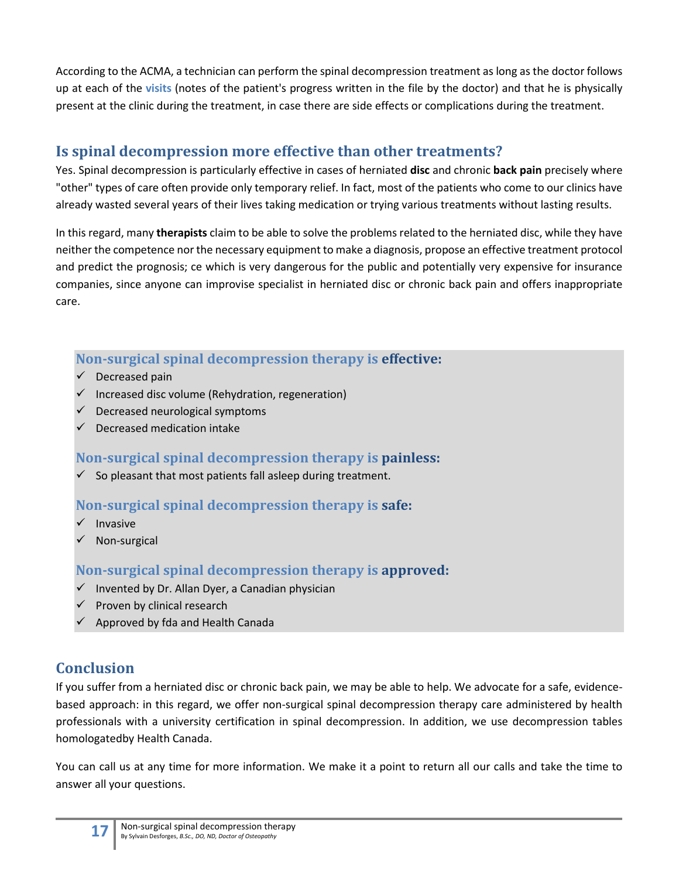According to the ACMA, a technician can perform the spinal decompression treatment as long as the doctor follows up at each of the **visits** (notes of the patient's progress written in the file by the doctor) and that he is physically present at the clinic during the treatment, in case there are side effects or complications during the treatment.

# <span id="page-16-0"></span>**Is spinal decompression more effective than other treatments?**

Yes. Spinal decompression is particularly effective in cases of herniated **disc** and chronic **back pain** precisely where "other" types of care often provide only temporary relief. In fact, most of the patients who come to our clinics have already wasted several years of their lives taking medication or trying various treatments without lasting results.

In this regard, many **therapists** claim to be able to solve the problems related to the herniated disc, while they have neither the competence nor the necessary equipment to make a diagnosis, propose an effective treatment protocol and predict the prognosis; ce which is very dangerous for the public and potentially very expensive for insurance companies, since anyone can improvise specialist in herniated disc or chronic back pain and offers inappropriate care.

# <span id="page-16-1"></span>**Non-surgical spinal decompression therapy is effective:**

- $\checkmark$  Decreased pain
- $\checkmark$  Increased disc volume (Rehydration, regeneration)
- $\checkmark$  Decreased neurological symptoms
- Decreased medication intake

# <span id="page-16-2"></span>**Non-surgical spinal decompression therapy is painless:**

 $\checkmark$  So pleasant that most patients fall asleep during treatment.

# <span id="page-16-3"></span>**Non-surgical spinal decompression therapy is safe:**

- $\checkmark$  Invasive
- Non-surgical

# <span id="page-16-4"></span>**Non-surgical spinal decompression therapy is approved:**

- $\checkmark$  Invented by Dr. Allan Dyer, a Canadian physician
- $\checkmark$  Proven by clinical research
- $\checkmark$  Approved by fda and Health Canada

# <span id="page-16-5"></span>**Conclusion**

If you suffer from a herniated disc or chronic back pain, we may be able to help. We advocate for a safe, evidencebased approach: in this regard, we offer non-surgical spinal decompression therapy care administered by health professionals with a university certification in spinal decompression. In addition, we use decompression tables homologatedby Health Canada.

You can call us at any time for more information. We make it a point to return all our calls and take the time to answer all your questions.

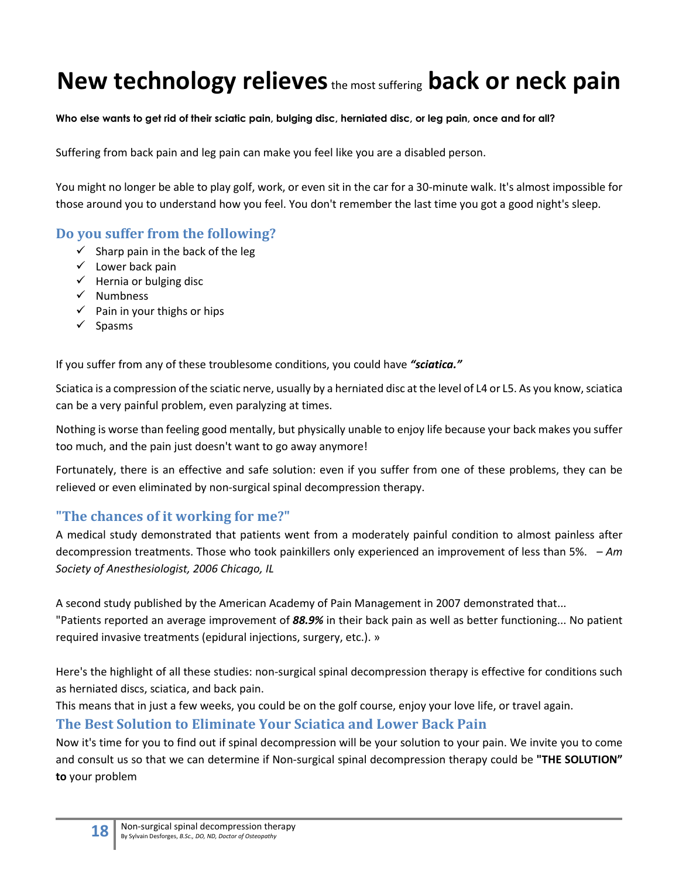# **New technology relieves**the most suffering **back or neck pain**

#### **Who else wants to get rid of their sciatic pain, bulging disc, herniated disc, or leg pain, once and for all?**

Suffering from back pain and leg pain can make you feel like you are a disabled person.

You might no longer be able to play golf, work, or even sit in the car for a 30-minute walk. It's almost impossible for those around you to understand how you feel. You don't remember the last time you got a good night's sleep.

#### <span id="page-17-0"></span>**Do you suffer from the following?**

- $\checkmark$  Sharp pain in the back of the leg
- $\checkmark$  Lower back pain
- $\checkmark$  Hernia or bulging disc
- $\checkmark$  Numbness
- $\checkmark$  Pain in your thighs or hips
- $\checkmark$  Spasms

If you suffer from any of these troublesome conditions, you could have *"sciatica."*

Sciatica is a compression of the sciatic nerve, usually by a herniated disc at the level of L4 or L5. As you know, sciatica can be a very painful problem, even paralyzing at times.

Nothing is worse than feeling good mentally, but physically unable to enjoy life because your back makes you suffer too much, and the pain just doesn't want to go away anymore!

Fortunately, there is an effective and safe solution: even if you suffer from one of these problems, they can be relieved or even eliminated by non-surgical spinal decompression therapy.

#### <span id="page-17-1"></span>**"The chances of it working for me?"**

A medical study demonstrated that patients went from a moderately painful condition to almost painless after decompression treatments. Those who took painkillers only experienced an improvement of less than 5%. – *Am Society of Anesthesiologist, 2006 Chicago, IL*

A second study published by the American Academy of Pain Management in 2007 demonstrated that... "Patients reported an average improvement of *88.9%* in their back pain as well as better functioning... No patient required invasive treatments (epidural injections, surgery, etc.). »

Here's the highlight of all these studies: non-surgical spinal decompression therapy is effective for conditions such as herniated discs, sciatica, and back pain.

This means that in just a few weeks, you could be on the golf course, enjoy your love life, or travel again.

#### <span id="page-17-2"></span>**The Best Solution to Eliminate Your Sciatica and Lower Back Pain**

Now it's time for you to find out if spinal decompression will be your solution to your pain. We invite you to come and consult us so that we can determine if Non-surgical spinal decompression therapy could be **"THE SOLUTION" to** your problem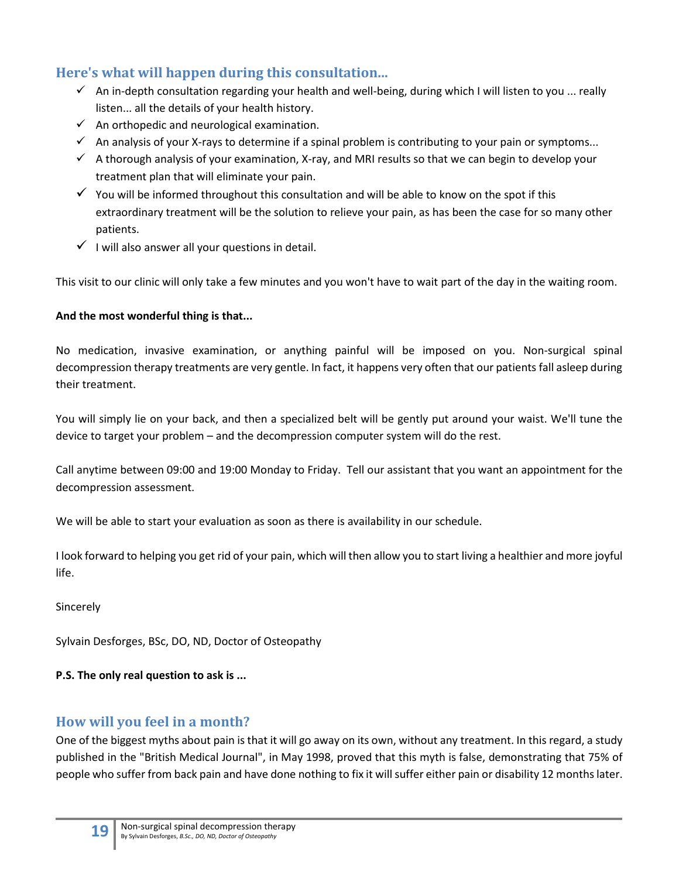# <span id="page-18-0"></span>**Here's what will happen during this consultation...**

- $\checkmark$  An in-depth consultation regarding your health and well-being, during which I will listen to you ... really listen... all the details of your health history.
- $\checkmark$  An orthopedic and neurological examination.
- $\checkmark$  An analysis of your X-rays to determine if a spinal problem is contributing to your pain or symptoms...
- $\checkmark$  A thorough analysis of your examination, X-ray, and MRI results so that we can begin to develop your treatment plan that will eliminate your pain.
- $\checkmark$  You will be informed throughout this consultation and will be able to know on the spot if this extraordinary treatment will be the solution to relieve your pain, as has been the case for so many other patients.
- $\checkmark$  I will also answer all your questions in detail.

This visit to our clinic will only take a few minutes and you won't have to wait part of the day in the waiting room.

#### **And the most wonderful thing is that...**

No medication, invasive examination, or anything painful will be imposed on you. Non-surgical spinal decompression therapy treatments are very gentle. In fact, it happens very often that our patients fall asleep during their treatment.

You will simply lie on your back, and then a specialized belt will be gently put around your waist. We'll tune the device to target your problem – and the decompression computer system will do the rest.

Call anytime between 09:00 and 19:00 Monday to Friday. Tell our assistant that you want an appointment for the decompression assessment.

We will be able to start your evaluation as soon as there is availability in our schedule.

I look forward to helping you get rid of your pain, which will then allow you to start living a healthier and more joyful life.

Sincerely

Sylvain Desforges, BSc, DO, ND, Doctor of Osteopathy

#### **P.S. The only real question to ask is ...**

#### <span id="page-18-1"></span>**How will you feel in a month?**

One of the biggest myths about pain is that it will go away on its own, without any treatment. In this regard, a study published in the "British Medical Journal", in May 1998, proved that this myth is false, demonstrating that 75% of people who suffer from back pain and have done nothing to fix it will suffer either pain or disability 12 months later.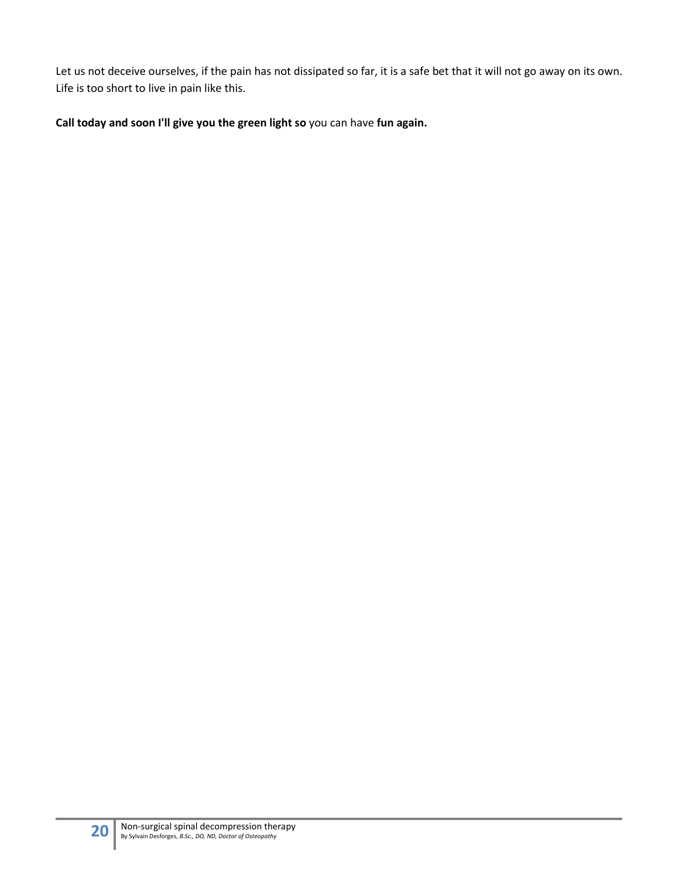Let us not deceive ourselves, if the pain has not dissipated so far, it is a safe bet that it will not go away on its own. Life is too short to live in pain like this.

**Call today and soon I'll give you the green light so** you can have **fun again.**

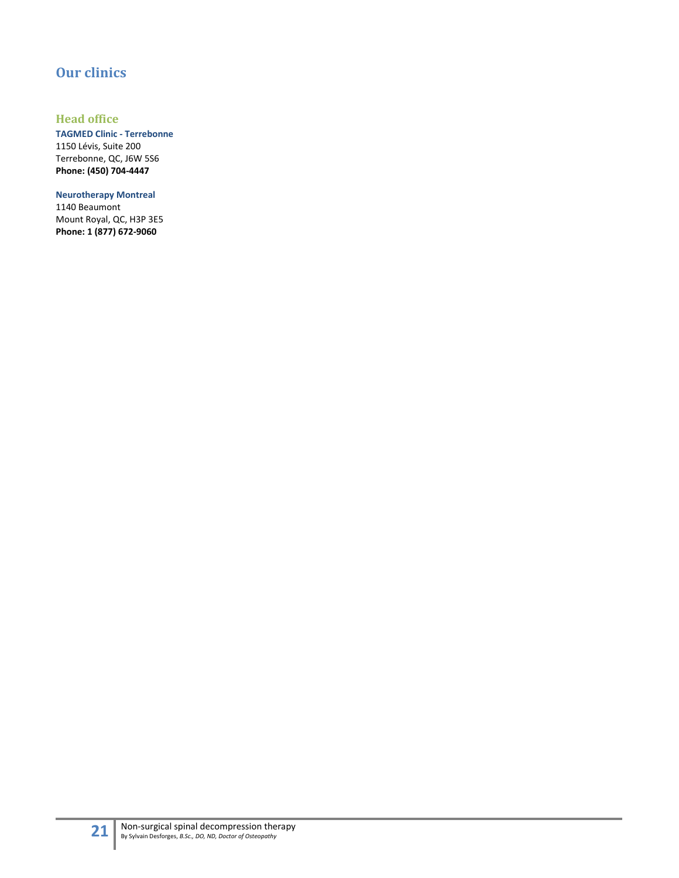# <span id="page-20-0"></span>**Our clinics**

#### <span id="page-20-1"></span>**Head office**

**TAGMED Clinic - Terrebonne**  1150 Lévis, Suite 200 Terrebonne, QC, J6W 5S6 **Phone: (450) 704-4447**

**Neurotherapy Montreal** 1140 Beaumont Mount Royal, QC, H3P 3E5 **Phone: 1 (877) 672-9060**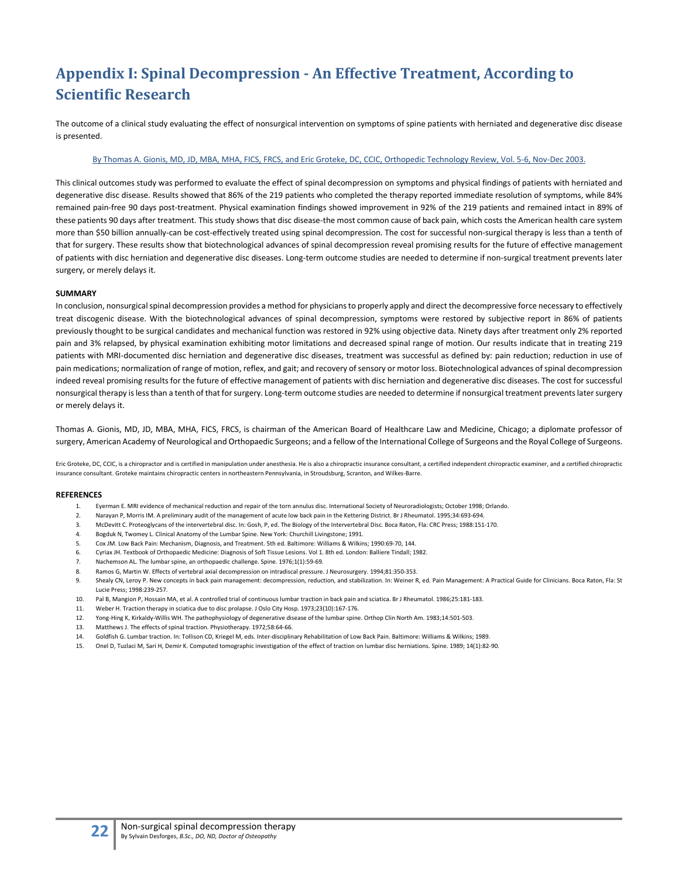# <span id="page-21-0"></span>**Appendix I: Spinal Decompression - An Effective Treatment, According to Scientific Research**

The outcome of a clinical study evaluating the effect of nonsurgical intervention on symptoms of spine patients with herniated and degenerative disc disease is presented.

#### [By Thomas A. Gionis, MD, JD, MBA, MHA, FICS, FRCS, and Eric Groteke, DC, CCIC, Orthopedic Technology Review, Vol. 5-6, Nov-Dec 2003.](http://www.sosherniediscale.com/modules/news/article.php?storyid=684)

This clinical outcomes study was performed to evaluate the effect of spinal decompression on symptoms and physical findings of patients with herniated and degenerative disc disease. Results showed that 86% of the 219 patients who completed the therapy reported immediate resolution of symptoms, while 84% remained pain-free 90 days post-treatment. Physical examination findings showed improvement in 92% of the 219 patients and remained intact in 89% of these patients 90 days after treatment. This study shows that disc disease-the most common cause of back pain, which costs the American health care system more than \$50 billion annually-can be cost-effectively treated using spinal decompression. The cost for successful non-surgical therapy is less than a tenth of that for surgery. These results show that biotechnological advances of spinal decompression reveal promising results for the future of effective management of patients with disc herniation and degenerative disc diseases. Long-term outcome studies are needed to determine if non-surgical treatment prevents later surgery, or merely delays it.

#### **SUMMARY**

In conclusion, nonsurgical spinal decompression provides a method for physicians to properly apply and direct the decompressive force necessary to effectively treat discogenic disease. With the biotechnological advances of spinal decompression, symptoms were restored by subjective report in 86% of patients previously thought to be surgical candidates and mechanical function was restored in 92% using objective data. Ninety days after treatment only 2% reported pain and 3% relapsed, by physical examination exhibiting motor limitations and decreased spinal range of motion. Our results indicate that in treating 219 patients with MRI-documented disc herniation and degenerative disc diseases, treatment was successful as defined by: pain reduction; reduction in use of pain medications; normalization of range of motion, reflex, and gait; and recovery of sensory or motor loss. Biotechnological advances of spinal decompression indeed reveal promising results for the future of effective management of patients with disc herniation and degenerative disc diseases. The cost for successful nonsurgical therapy is less than a tenth of that for surgery. Long-term outcome studies are needed to determine if nonsurgical treatment prevents later surgery or merely delays it.

Thomas A. Gionis, MD, JD, MBA, MHA, FICS, FRCS, is chairman of the American Board of Healthcare Law and Medicine, Chicago; a diplomate professor of surgery, American Academy of Neurological and Orthopaedic Surgeons; and a fellow of the International College of Surgeons and the Royal College of Surgeons.

Eric Groteke, DC, CCIC, is a chiropractor and is certified in manipulation under anesthesia. He is also a chiropractic insurance consultant, a certified independent chiropractic examiner, and a certified chiropractic insurance consultant. Groteke maintains chiropractic centers in northeastern Pennsylvania, in Stroudsburg, Scranton, and Wilkes-Barre.

#### **REFERENCES**

- 1. Eyerman E. MRI evidence of mechanical reduction and repair of the torn annulus disc. International Society of Neuroradiologists; October 1998; Orlando.
- 2. Narayan P, Morris IM. A preliminary audit of the management of acute low back pain in the Kettering District. Br J Rheumatol. 1995;34:693-694.
- 3. McDevitt C. Proteoglycans of the intervertebral disc. In: Gosh, P, ed. The Biology of the Intervertebral Disc. Boca Raton, Fla: CRC Press; 1988:151-170.
- 4. Bogduk N, Twomey L. Clinical Anatomy of the Lumbar Spine. New York: Churchill Livingstone; 1991.
- 5. Cox JM. Low Back Pain: Mechanism, Diagnosis, and Treatment. 5th ed. Baltimore: Williams & Wilkins; 1990:69-70, 144.
- 6. Cyriax JH. Textbook of Orthopaedic Medicine: Diagnosis of Soft Tissue Lesions. Vol 1. 8th ed. London: Balliere Tindall; 1982.
- 7. Nachemson AL. The lumbar spine, an orthopaedic challenge. Spine. 1976;1(1):59-69.
- 8. Ramos G, Martin W. Effects of vertebral axial decompression on intradiscal pressure. J Neurosurgery. 1994;81:350-353.
- 9. Shealy CN, Leroy P. New concepts in back pain management: decompression, reduction, and stabilization. In: Weiner R, ed. Pain Management: A Practical Guide for Clinicians. Boca Raton, Fla: St Lucie Press; 1998:239-257.
- 10. Pal B, Mangion P, Hossain MA, et al. A controlled trial of continuous lumbar traction in back pain and sciatica. Br J Rheumatol. 1986;25:181-183.
- 11. Weber H. Traction therapy in sciatica due to disc prolapse. J Oslo City Hosp. 1973;23(10):167-176.
- 12. Yong-Hing K, Kirkaldy-Willis WH. The pathophysiology of degenerative disease of the lumbar spine. Orthop Clin North Am. 1983;14:501-503.
- 13. Matthews J. The effects of spinal traction. Physiotherapy. 1972;58:64-66.
- 14. Goldfish G. Lumbar traction. In: Tollison CD, Kriegel M, eds. Inter-disciplinary Rehabilitation of Low Back Pain. Baltimore: Williams & Wilkins; 1989.
- 15. Onel D, Tuzlaci M, Sari H, Demir K. Computed tomographic investigation of the effect of traction on lumbar disc herniations. Spine. 1989; 14(1):82-90.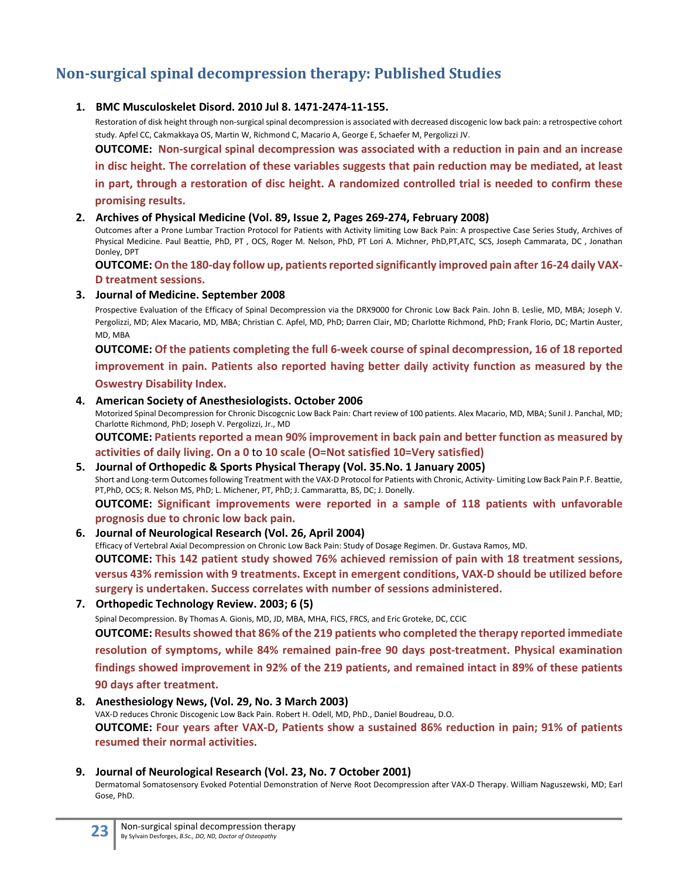# <span id="page-22-0"></span>**Non-surgical spinal decompression therapy: Published Studies**

#### **1. BMC Musculoskelet Disord. 2010 Jul 8. 1471-2474-11-155.**

Restoration of disk height through non-surgical spinal decompression is associated with decreased discogenic low back pain: a retrospective cohort study. Apfel CC, Cakmakkaya OS, Martin W, Richmond C, Macario A, George E, Schaefer M, Pergolizzi JV.

**OUTCOME: Non-surgical spinal decompression was associated with a reduction in pain and an increase in disc height. The correlation of these variables suggests that pain reduction may be mediated, at least in part, through a restoration of disc height. A randomized controlled trial is needed to confirm these promising results.**

#### **2. Archives of Physical Medicine (Vol. 89, Issue 2, Pages 269-274, February 2008)**

Outcomes after a Prone Lumbar Traction Protocol for Patients with Activity limiting Low Back Pain: A prospective Case Series Study, Archives of Physical Medicine. Paul Beattie, PhD, PT , OCS, Roger M. Nelson, PhD, PT Lori A. Michner, PhD,PT,ATC, SCS, Joseph Cammarata, DC , Jonathan Donley, DPT

**OUTCOME: On the 180-day follow up, patients reported significantly improved pain after 16-24 daily VAX-D treatment sessions.**

#### **3. Journal of Medicine. September 2008**

Prospective Evaluation of the Efficacy of Spinal Decompression via the DRX9000 for Chronic Low Back Pain. John B. Leslie, MD, MBA; Joseph V. Pergolizzi, MD; Alex Macario, MD, MBA; Christian C. Apfel, MD, PhD; Darren Clair, MD; Charlotte Richmond, PhD; Frank Florio, DC; Martin Auster, MD, MBA

**OUTCOME: Of the patients completing the full 6-week course of spinal decompression, 16 of 18 reported improvement in pain. Patients also reported having better daily activity function as measured by the Oswestry Disability Index.**

#### **4. American Society of Anesthesiologists. October 2006**

Motorized Spinal Decompression for Chronic Discogcnic Low Back Pain: Chart review of 100 patients. Alex Macario, MD, MBA; Sunil J. Panchal, MD; Charlotte Richmond, PhD; Joseph V. Pergolizzi, Jr., MD

**OUTCOME: Patients reported a mean 90% improvement in back pain and better function as measured by activities of daily living. On a 0** to **10 scale (O=Not satisfied 10=Very satisfied)**

#### **5. Journal of Orthopedic & Sports Physical Therapy (Vol. 35.No. 1 January 2005)** Short and Long-term Outcomes following Treatment with the VAX-D Protocol for Patients with Chronic, Activity- Limiting Low Back Pain P.F. Beattie, PT,PhD, OCS; R. Nelson MS, PhD; L. Michener, PT, PhD; J. Cammaratta, BS, DC; J. Donelly. **OUTCOME: Significant improvements were reported in a sample of 118 patients with unfavorable prognosis due to chronic low back pain.**

#### **6. Journal of Neurological Research (Vol. 26, April 2004)**

Efficacy of Vertebral Axial Decompression on Chronic Low Back Pain: Study of Dosage Regimen. Dr. Gustava Ramos, MD. **OUTCOME: This 142 patient study showed 76% achieved remission of pain with 18 treatment sessions, versus 43% remission with 9 treatments. Except in emergent conditions, VAX-D should be utilized before surgery is undertaken. Success correlates with number of sessions administered.**

#### **7. Orthopedic Technology Review. 2003; 6 (5)**

Spinal Decompression. By Thomas A. Gionis, MD, JD, MBA, MHA, FICS, FRCS, and Eric Groteke, DC, CCIC **OUTCOME: Results showed that 86% of the 219 patients who completed the therapy reported immediate resolution of symptoms, while 84% remained pain-free 90 days post-treatment. Physical examination findings showed improvement in 92% of the 219 patients, and remained intact in 89% of these patients 90 days after treatment.**

#### **8. Anesthesiology News, (Vol. 29, No. 3 March 2003)**

VAX-D reduces Chronic Discogenic Low Back Pain. Robert H. Odell, MD, PhD., Daniel Boudreau, D.O. **OUTCOME: Four years after VAX-D, Patients show a sustained 86% reduction in pain; 91% of patients resumed their normal activities.**

#### **9. Journal of Neurological Research (Vol. 23, No. 7 October 2001)**

Dermatomal Somatosensory Evoked Potential Demonstration of Nerve Root Decompression after VAX-D Therapy. William Naguszewski, MD; Earl Gose, PhD.

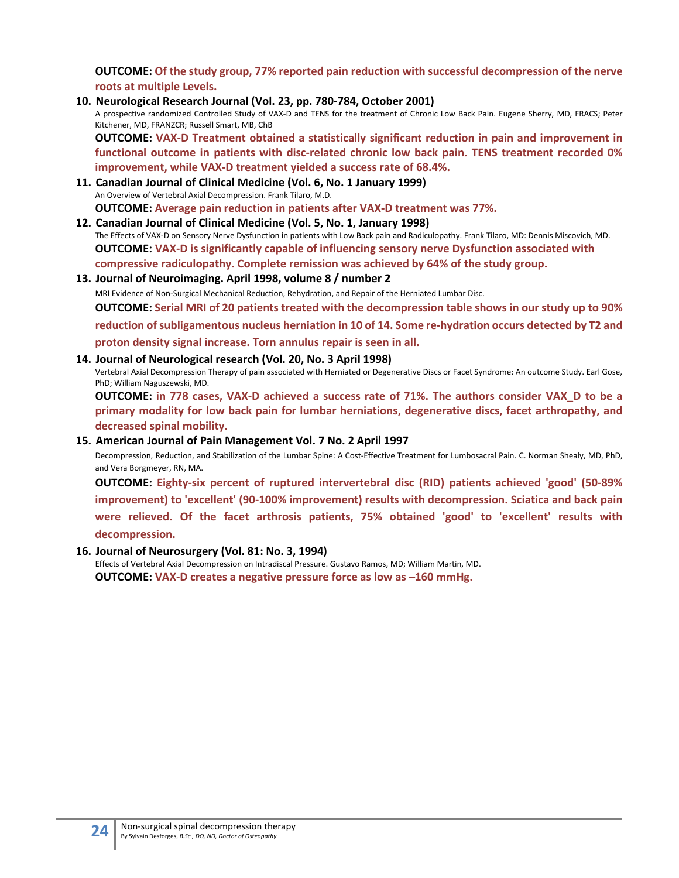**OUTCOME: Of the study group, 77% reported pain reduction with successful decompression of the nerve roots at multiple Levels.**

**10. Neurological Research Journal (Vol. 23, pp. 780-784, October 2001)**

A prospective randomized Controlled Study of VAX-D and TENS for the treatment of Chronic Low Back Pain. Eugene Sherry, MD, FRACS; Peter Kitchener, MD, FRANZCR; Russell Smart, MB, ChB

**OUTCOME: VAX-D Treatment obtained a statistically significant reduction in pain and improvement in functional outcome in patients with disc-related chronic low back pain. TENS treatment recorded 0% improvement, while VAX-D treatment yielded a success rate of 68.4%.**

**11. Canadian Journal of Clinical Medicine (Vol. 6, No. 1 January 1999)** An Overview of Vertebral Axial Decompression. Frank Tilaro, M.D. **OUTCOME: Average pain reduction in patients after VAX-D treatment was 77%.**

#### **12. Canadian Journal of Clinical Medicine (Vol. 5, No. 1, January 1998)**

The Effects of VAX-D on Sensory Nerve Dysfunction in patients with Low Back pain and Radiculopathy. Frank Tilaro, MD: Dennis Miscovich, MD. **OUTCOME: VAX-D is significantly capable of influencing sensory nerve Dysfunction associated with compressive radiculopathy. Complete remission was achieved by 64% of the study group.**

#### **13. Journal of Neuroimaging. April 1998, volume 8 / number 2**

MRI Evidence of Non-Surgical Mechanical Reduction, Rehydration, and Repair of the Herniated Lumbar Disc.

**OUTCOME: Serial MRI of 20 patients treated with the decompression table shows in our study up to 90%** 

**reduction of subligamentous nucleus herniation in 10 of 14. Some re-hydration occurs detected by T2 and proton density signal increase. Torn annulus repair is seen in all.**

#### **14. Journal of Neurological research (Vol. 20, No. 3 April 1998)**

Vertebral Axial Decompression Therapy of pain associated with Herniated or Degenerative Discs or Facet Syndrome: An outcome Study. Earl Gose, PhD; William Naguszewski, MD.

**OUTCOME: in 778 cases, VAX-D achieved a success rate of 71%. The authors consider VAX\_D to be a primary modality for low back pain for lumbar herniations, degenerative discs, facet arthropathy, and decreased spinal mobility.**

#### **15. American Journal of Pain Management Vol. 7 No. 2 April 1997**

Decompression, Reduction, and Stabilization of the Lumbar Spine: A Cost-Effective Treatment for Lumbosacral Pain. C. Norman Shealy, MD, PhD, and Vera Borgmeyer, RN, MA.

**OUTCOME: Eighty-six percent of ruptured intervertebral disc (RID) patients achieved 'good' (50-89% improvement) to 'excellent' (90-100% improvement) results with decompression. Sciatica and back pain were relieved. Of the facet arthrosis patients, 75% obtained 'good' to 'excellent' results with decompression.**

#### **16. Journal of Neurosurgery (Vol. 81: No. 3, 1994)**

Effects of Vertebral Axial Decompression on Intradiscal Pressure. Gustavo Ramos, MD; William Martin, MD. **OUTCOME: VAX-D creates a negative pressure force as low as –160 mmHg.**